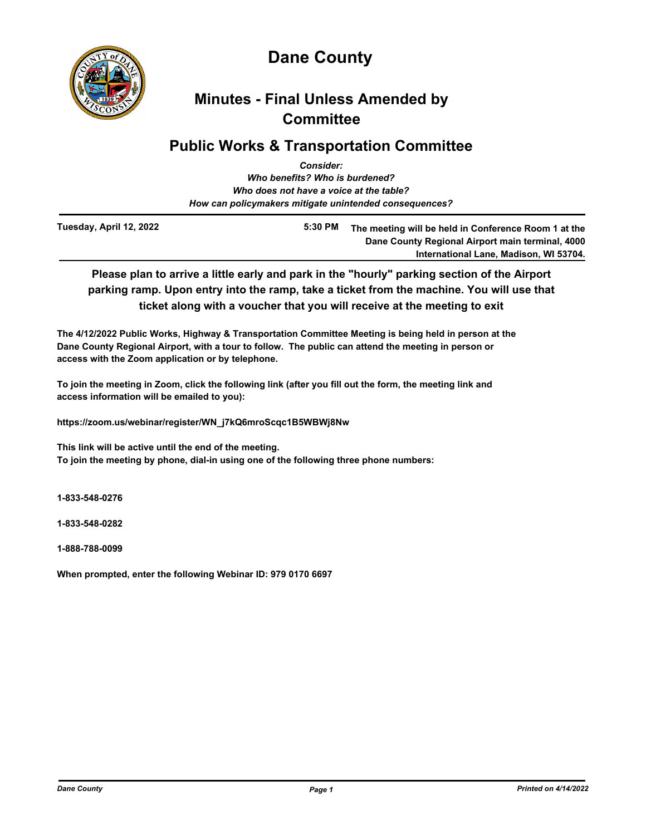

# **Dane County**

## **Minutes - Final Unless Amended by Committee**

## **Public Works & Transportation Committee**

| <b>Consider:</b>                                       |  |
|--------------------------------------------------------|--|
| Who benefits? Who is burdened?                         |  |
| Who does not have a voice at the table?                |  |
| How can policymakers mitigate unintended consequences? |  |
|                                                        |  |

**Tuesday, April 12, 2022**

**5:30 PM The meeting will be held in Conference Room 1 at the Dane County Regional Airport main terminal, 4000 International Lane, Madison, WI 53704.**

**Please plan to arrive a little early and park in the "hourly" parking section of the Airport parking ramp. Upon entry into the ramp, take a ticket from the machine. You will use that ticket along with a voucher that you will receive at the meeting to exit**

**The 4/12/2022 Public Works, Highway & Transportation Committee Meeting is being held in person at the Dane County Regional Airport, with a tour to follow. The public can attend the meeting in person or access with the Zoom application or by telephone.**

**To join the meeting in Zoom, click the following link (after you fill out the form, the meeting link and access information will be emailed to you):** 

**https://zoom.us/webinar/register/WN\_j7kQ6mroScqc1B5WBWj8Nw**

**This link will be active until the end of the meeting. To join the meeting by phone, dial-in using one of the following three phone numbers:**

**1-833-548-0276**

**1-833-548-0282**

**1-888-788-0099**

**When prompted, enter the following Webinar ID: 979 0170 6697**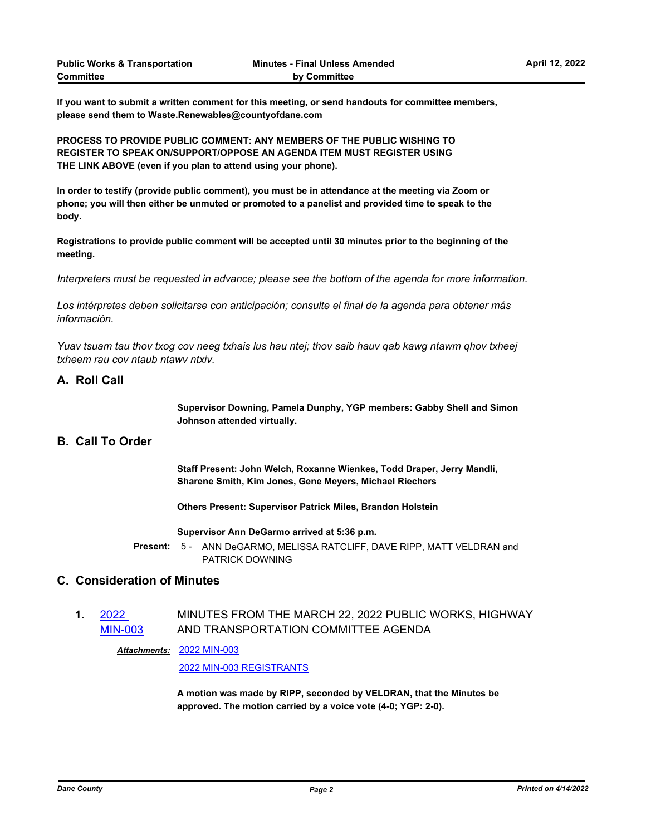**If you want to submit a written comment for this meeting, or send handouts for committee members, please send them to Waste.Renewables@countyofdane.com**

**PROCESS TO PROVIDE PUBLIC COMMENT: ANY MEMBERS OF THE PUBLIC WISHING TO REGISTER TO SPEAK ON/SUPPORT/OPPOSE AN AGENDA ITEM MUST REGISTER USING THE LINK ABOVE (even if you plan to attend using your phone).** 

**In order to testify (provide public comment), you must be in attendance at the meeting via Zoom or phone; you will then either be unmuted or promoted to a panelist and provided time to speak to the body.**

**Registrations to provide public comment will be accepted until 30 minutes prior to the beginning of the meeting.**

*Interpreters must be requested in advance; please see the bottom of the agenda for more information.*

*Los intérpretes deben solicitarse con anticipación; consulte el final de la agenda para obtener más información.*

*Yuav tsuam tau thov txog cov neeg txhais lus hau ntej; thov saib hauv qab kawg ntawm qhov txheej txheem rau cov ntaub ntawv ntxiv.*

## **A. Roll Call**

**Supervisor Downing, Pamela Dunphy, YGP members: Gabby Shell and Simon Johnson attended virtually.**

## **B. Call To Order**

**Staff Present: John Welch, Roxanne Wienkes, Todd Draper, Jerry Mandli, Sharene Smith, Kim Jones, Gene Meyers, Michael Riechers**

**Others Present: Supervisor Patrick Miles, Brandon Holstein** 

**Supervisor Ann DeGarmo arrived at 5:36 p.m.**

Present: 5 - ANN DeGARMO, MELISSA RATCLIFF, DAVE RIPP, MATT VELDRAN and PATRICK DOWNING

## **C. Consideration of Minutes**

#### **1.** 2022 [MIN-003](http://dane.legistar.com/gateway.aspx?m=l&id=/matter.aspx?key=22695) MINUTES FROM THE MARCH 22, 2022 PUBLIC WORKS, HIGHWAY AND TRANSPORTATION COMMITTEE AGENDA

[2022 MIN-003](http://dane.legistar.com/gateway.aspx?M=F&ID=7f7ac13a-733b-423d-81d5-25318d9009e8.pdf) *Attachments:*

[2022 MIN-003 REGISTRANTS](http://dane.legistar.com/gateway.aspx?M=F&ID=0a7bab3f-2436-447d-8b74-4e0a8f04c642.pdf)

**A motion was made by RIPP, seconded by VELDRAN, that the Minutes be approved. The motion carried by a voice vote (4-0; YGP: 2-0).**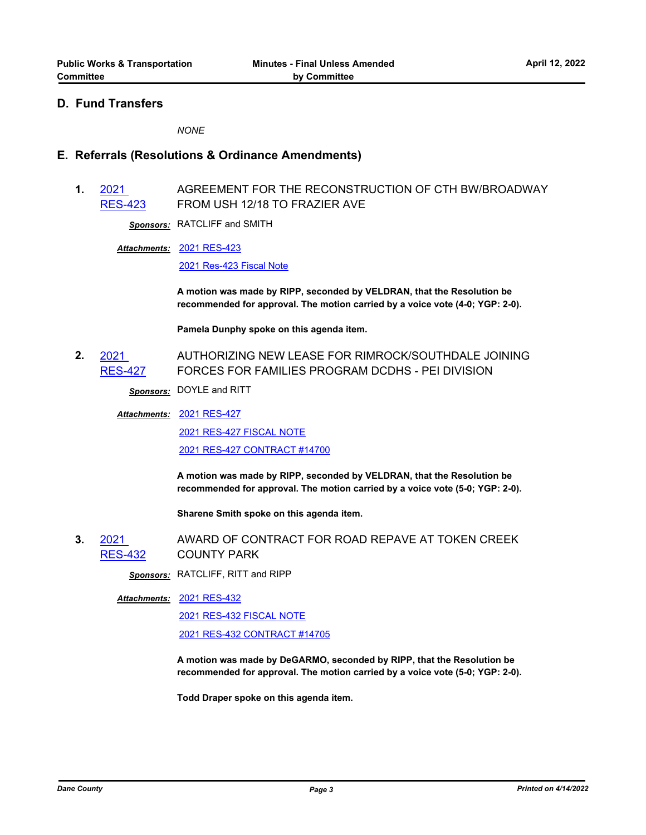## **D. Fund Transfers**

*NONE*

## **E. Referrals (Resolutions & Ordinance Amendments)**

**1.** 2021 [RES-423](http://dane.legistar.com/gateway.aspx?m=l&id=/matter.aspx?key=22597) AGREEMENT FOR THE RECONSTRUCTION OF CTH BW/BROADWAY FROM USH 12/18 TO FRAZIER AVE

*Sponsors:* RATCLIFF and SMITH

[2021 RES-423](http://dane.legistar.com/gateway.aspx?M=F&ID=26fe04ef-e079-4015-bb82-59332302aa3d.pdf) *Attachments:*

[2021 Res-423 Fiscal Note](http://dane.legistar.com/gateway.aspx?M=F&ID=30aaf00b-3c1e-470a-9ab8-1eaa41cbe04e.pdf)

**A motion was made by RIPP, seconded by VELDRAN, that the Resolution be recommended for approval. The motion carried by a voice vote (4-0; YGP: 2-0).**

**Pamela Dunphy spoke on this agenda item.**

**2.** 2021 [RES-427](http://dane.legistar.com/gateway.aspx?m=l&id=/matter.aspx?key=22613) AUTHORIZING NEW LEASE FOR RIMROCK/SOUTHDALE JOINING FORCES FOR FAMILIES PROGRAM DCDHS - PEI DIVISION

*Sponsors:* DOYLE and RITT

[2021 RES-427](http://dane.legistar.com/gateway.aspx?M=F&ID=fc124922-bb85-40bf-a6cc-747dcb0ff6aa.pdf) *Attachments:*

[2021 RES-427 FISCAL NOTE](http://dane.legistar.com/gateway.aspx?M=F&ID=fbd884f2-a066-4ae9-bfa7-d1f177f2d97d.pdf) [2021 RES-427 CONTRACT #14700](http://dane.legistar.com/gateway.aspx?M=F&ID=ed49fa83-686a-4bc9-8553-ece18796ee7a.pdf)

**A motion was made by RIPP, seconded by VELDRAN, that the Resolution be recommended for approval. The motion carried by a voice vote (5-0; YGP: 2-0).** 

**Sharene Smith spoke on this agenda item.**

**3.** 2021 [RES-432](http://dane.legistar.com/gateway.aspx?m=l&id=/matter.aspx?key=22662) AWARD OF CONTRACT FOR ROAD REPAVE AT TOKEN CREEK COUNTY PARK

*Sponsors:* RATCLIFF, RITT and RIPP

[2021 RES-432](http://dane.legistar.com/gateway.aspx?M=F&ID=bcdc821a-0922-4e91-8e51-c210d7dc99a9.pdf) *Attachments:*

[2021 RES-432 FISCAL NOTE](http://dane.legistar.com/gateway.aspx?M=F&ID=b7de5677-f6b4-469b-8b1c-9cf5a38b6cdf.pdf)

[2021 RES-432 CONTRACT #14705](http://dane.legistar.com/gateway.aspx?M=F&ID=95848073-44ec-4d78-bd64-59775a05e238.pdf)

**A motion was made by DeGARMO, seconded by RIPP, that the Resolution be recommended for approval. The motion carried by a voice vote (5-0; YGP: 2-0).** 

**Todd Draper spoke on this agenda item.**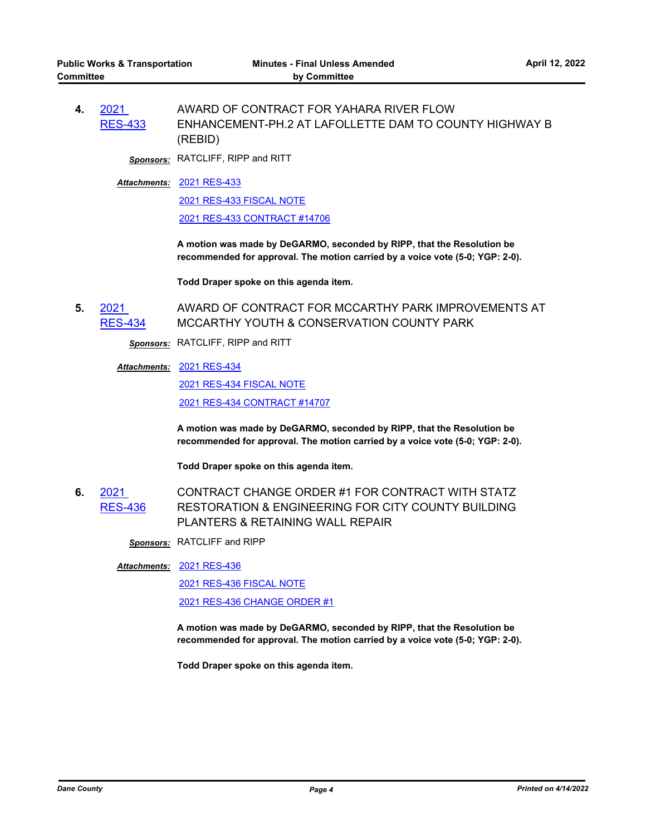**4.** 2021 [RES-433](http://dane.legistar.com/gateway.aspx?m=l&id=/matter.aspx?key=22663) AWARD OF CONTRACT FOR YAHARA RIVER FLOW ENHANCEMENT-PH.2 AT LAFOLLETTE DAM TO COUNTY HIGHWAY B (REBID)

*Sponsors:* RATCLIFF, RIPP and RITT

[2021 RES-433](http://dane.legistar.com/gateway.aspx?M=F&ID=eb58bb64-4421-4a7f-be0f-16d615008afa.pdf) *Attachments:* [2021 RES-433 FISCAL NOTE](http://dane.legistar.com/gateway.aspx?M=F&ID=3ab90c45-2673-4d35-84ac-d94d722a3808.pdf)

[2021 RES-433 CONTRACT #14706](http://dane.legistar.com/gateway.aspx?M=F&ID=7e720ef2-2dcf-4ce9-84a9-079c1103609f.pdf)

**A motion was made by DeGARMO, seconded by RIPP, that the Resolution be recommended for approval. The motion carried by a voice vote (5-0; YGP: 2-0).** 

**Todd Draper spoke on this agenda item.**

**5.** 2021 [RES-434](http://dane.legistar.com/gateway.aspx?m=l&id=/matter.aspx?key=22664) AWARD OF CONTRACT FOR MCCARTHY PARK IMPROVEMENTS AT MCCARTHY YOUTH & CONSERVATION COUNTY PARK

*Sponsors:* RATCLIFF, RIPP and RITT

### [2021 RES-434](http://dane.legistar.com/gateway.aspx?M=F&ID=6d465394-8271-48d5-98a5-3fa53f9d9cb1.pdf) *Attachments:*

[2021 RES-434 FISCAL NOTE](http://dane.legistar.com/gateway.aspx?M=F&ID=cc0ebd60-02f2-4243-ab08-9e1a348c3a19.pdf) [2021 RES-434 CONTRACT #14707](http://dane.legistar.com/gateway.aspx?M=F&ID=954e8f7a-ac90-451f-91d7-16fc14835788.pdf)

**A motion was made by DeGARMO, seconded by RIPP, that the Resolution be recommended for approval. The motion carried by a voice vote (5-0; YGP: 2-0).** 

**Todd Draper spoke on this agenda item.**

**6.** 2021 [RES-436](http://dane.legistar.com/gateway.aspx?m=l&id=/matter.aspx?key=22666) CONTRACT CHANGE ORDER #1 FOR CONTRACT WITH STATZ RESTORATION & ENGINEERING FOR CITY COUNTY BUILDING PLANTERS & RETAINING WALL REPAIR

*Sponsors:* RATCLIFF and RIPP

[2021 RES-436](http://dane.legistar.com/gateway.aspx?M=F&ID=367e3d08-8ffa-4d94-a3ee-d7758fb45209.pdf) *Attachments:*

[2021 RES-436 FISCAL NOTE](http://dane.legistar.com/gateway.aspx?M=F&ID=a4fc6e02-ead2-428b-a528-13d8b3cdbbd8.pdf) [2021 RES-436 CHANGE ORDER #1](http://dane.legistar.com/gateway.aspx?M=F&ID=bcbf6605-32db-4bfd-8ceb-54fed7e496cd.pdf)

**A motion was made by DeGARMO, seconded by RIPP, that the Resolution be recommended for approval. The motion carried by a voice vote (5-0; YGP: 2-0).** 

**Todd Draper spoke on this agenda item.**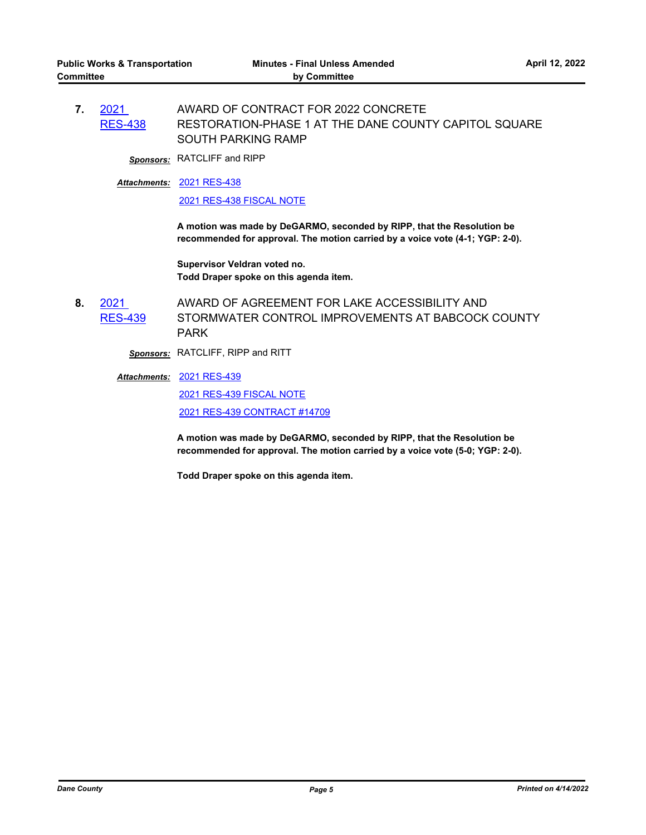**7.** 2021 [RES-438](http://dane.legistar.com/gateway.aspx?m=l&id=/matter.aspx?key=22671) AWARD OF CONTRACT FOR 2022 CONCRETE RESTORATION-PHASE 1 AT THE DANE COUNTY CAPITOL SQUARE SOUTH PARKING RAMP

*Sponsors:* RATCLIFF and RIPP

[2021 RES-438](http://dane.legistar.com/gateway.aspx?M=F&ID=654d373f-65ba-48e8-954e-651293d57936.pdf) *Attachments:*

[2021 RES-438 FISCAL NOTE](http://dane.legistar.com/gateway.aspx?M=F&ID=04e0ae24-6ead-40a4-9f91-704657d5e553.pdf)

**A motion was made by DeGARMO, seconded by RIPP, that the Resolution be recommended for approval. The motion carried by a voice vote (4-1; YGP: 2-0).**

**Supervisor Veldran voted no. Todd Draper spoke on this agenda item.**

**8.** 2021 [RES-439](http://dane.legistar.com/gateway.aspx?m=l&id=/matter.aspx?key=22672) AWARD OF AGREEMENT FOR LAKE ACCESSIBILITY AND STORMWATER CONTROL IMPROVEMENTS AT BABCOCK COUNTY PARK

*Sponsors:* RATCLIFF, RIPP and RITT

[2021 RES-439](http://dane.legistar.com/gateway.aspx?M=F&ID=d895a6b8-b969-463a-b244-cb962a201168.pdf) *Attachments:*

[2021 RES-439 FISCAL NOTE](http://dane.legistar.com/gateway.aspx?M=F&ID=e5871b41-277f-4761-bae0-08df29e9ac51.pdf) [2021 RES-439 CONTRACT #14709](http://dane.legistar.com/gateway.aspx?M=F&ID=e405183e-37b3-48db-9538-1658407eaed1.pdf)

**A motion was made by DeGARMO, seconded by RIPP, that the Resolution be recommended for approval. The motion carried by a voice vote (5-0; YGP: 2-0).** 

**Todd Draper spoke on this agenda item.**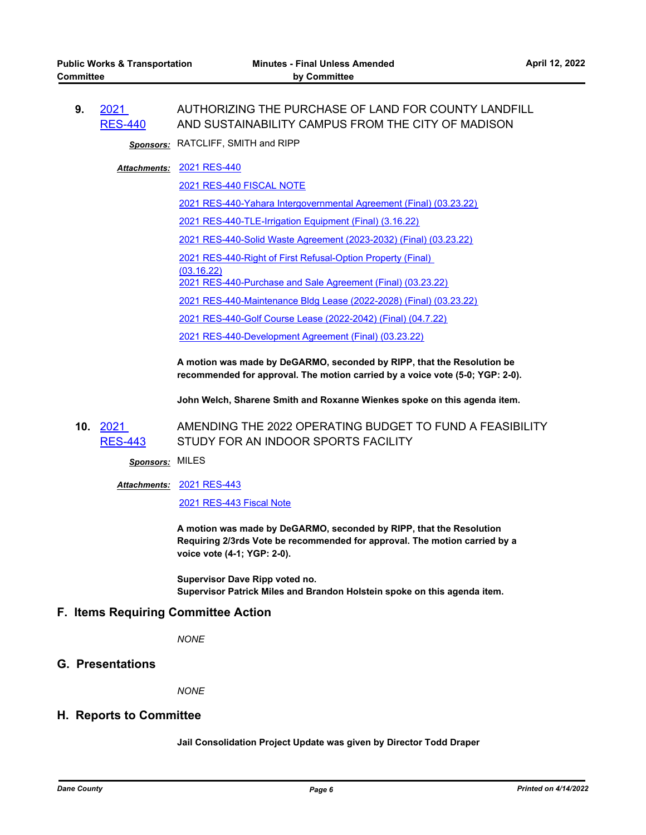**9.** 2021 [RES-440](http://dane.legistar.com/gateway.aspx?m=l&id=/matter.aspx?key=22675) AUTHORIZING THE PURCHASE OF LAND FOR COUNTY LANDFILL AND SUSTAINABILITY CAMPUS FROM THE CITY OF MADISON

*Sponsors:* RATCLIFF, SMITH and RIPP

[2021 RES-440](http://dane.legistar.com/gateway.aspx?M=F&ID=1e0885d4-767d-4e3b-8a15-9d2417a66598.pdf) *Attachments:*

[2021 RES-440 FISCAL NOTE](http://dane.legistar.com/gateway.aspx?M=F&ID=209dd71d-4504-443f-a8b5-a257bf0f73cb.pdf)

[2021 RES-440-Yahara Intergovernmental Agreement \(Final\) \(03.23.22\)](http://dane.legistar.com/gateway.aspx?M=F&ID=d70d2f72-6062-49a5-a0dc-7c51c6ea6077.pdf)

[2021 RES-440-TLE-Irrigation Equipment \(Final\) \(3.16.22\)](http://dane.legistar.com/gateway.aspx?M=F&ID=7f05c034-e8b1-400b-b45b-e1bd8b945ef7.pdf)

[2021 RES-440-Solid Waste Agreement \(2023-2032\) \(Final\) \(03.23.22\)](http://dane.legistar.com/gateway.aspx?M=F&ID=029cbfb9-208e-4dfe-baa5-01465aa5b4e1.pdf)

[2021 RES-440-Right of First Refusal-Option Property \(Final\)](http://dane.legistar.com/gateway.aspx?M=F&ID=a4d765bc-ae23-4204-81cb-3af0de1ffa6f.pdf) 

(03.16.22)

[2021 RES-440-Purchase and Sale Agreement \(Final\) \(03.23.22\)](http://dane.legistar.com/gateway.aspx?M=F&ID=b4727311-6b2a-426e-a8fc-23fda5e97703.pdf)

[2021 RES-440-Maintenance Bldg Lease \(2022-2028\) \(Final\) \(03.23.22\)](http://dane.legistar.com/gateway.aspx?M=F&ID=bb5b346f-54e1-4f7f-a3c6-dd22a9f3cadd.pdf)

[2021 RES-440-Golf Course Lease \(2022-2042\) \(Final\) \(04.7.22\)](http://dane.legistar.com/gateway.aspx?M=F&ID=10095b89-3bcd-476f-b132-3e4894940695.pdf)

[2021 RES-440-Development Agreement \(Final\) \(03.23.22\)](http://dane.legistar.com/gateway.aspx?M=F&ID=1dca520e-576c-45c0-9f25-975b75a9299c.pdf)

**A motion was made by DeGARMO, seconded by RIPP, that the Resolution be recommended for approval. The motion carried by a voice vote (5-0; YGP: 2-0).** 

**John Welch, Sharene Smith and Roxanne Wienkes spoke on this agenda item.**

**10.** 2021 [RES-443](http://dane.legistar.com/gateway.aspx?m=l&id=/matter.aspx?key=22680) AMENDING THE 2022 OPERATING BUDGET TO FUND A FEASIBILITY STUDY FOR AN INDOOR SPORTS FACILITY

*Sponsors:* MILES

[2021 RES-443](http://dane.legistar.com/gateway.aspx?M=F&ID=72a3635f-e5ce-456d-8898-acf2c09ef782.pdf) *Attachments:*

[2021 RES-443 Fiscal Note](http://dane.legistar.com/gateway.aspx?M=F&ID=36fa448f-0de9-4cac-b23b-68bae2c7f8db.pdf)

**A motion was made by DeGARMO, seconded by RIPP, that the Resolution Requiring 2/3rds Vote be recommended for approval. The motion carried by a voice vote (4-1; YGP: 2-0).**

**Supervisor Dave Ripp voted no. Supervisor Patrick Miles and Brandon Holstein spoke on this agenda item.**

## **F. Items Requiring Committee Action**

*NONE*

## **G. Presentations**

*NONE*

### **H. Reports to Committee**

**Jail Consolidation Project Update was given by Director Todd Draper**